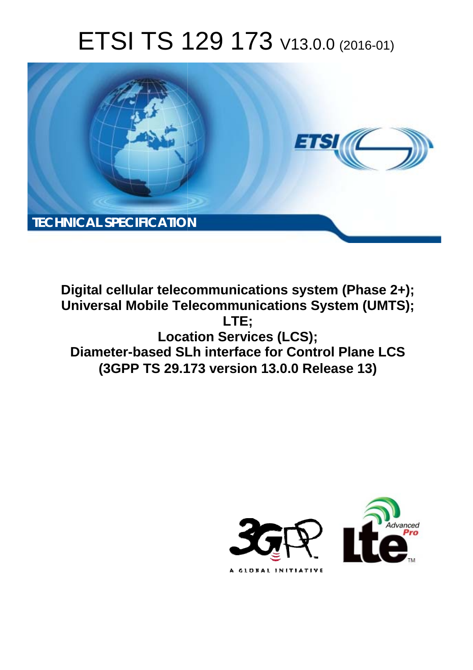# ETSI TS 129 173 V13.0.0 (2016-01)



**Digital cellular telecommunications system (Phase 2+); Universal Mobile Tel elecommunications System ( (UMTS); Locat cation Services (LCS); Diameter-based SLh interface for Control Plane LCS (3GPP TS 29.1 .173 version 13.0.0 Release 13 13) LTE;** 

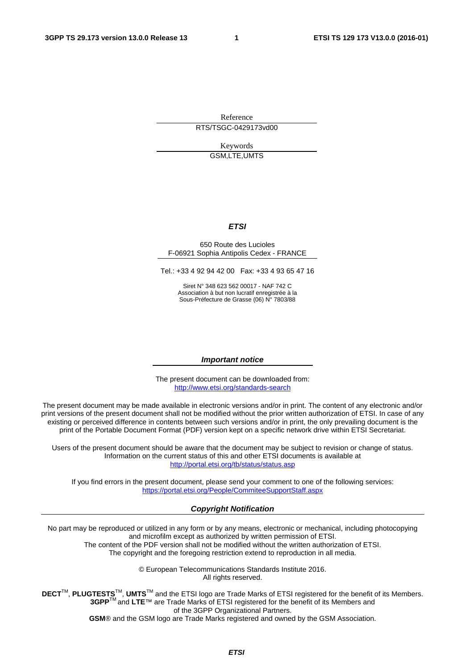Reference RTS/TSGC-0429173vd00

> Keywords GSM,LTE,UMTS

#### *ETSI*

#### 650 Route des Lucioles F-06921 Sophia Antipolis Cedex - FRANCE

Tel.: +33 4 92 94 42 00 Fax: +33 4 93 65 47 16

Siret N° 348 623 562 00017 - NAF 742 C Association à but non lucratif enregistrée à la Sous-Préfecture de Grasse (06) N° 7803/88

#### *Important notice*

The present document can be downloaded from: <http://www.etsi.org/standards-search>

The present document may be made available in electronic versions and/or in print. The content of any electronic and/or print versions of the present document shall not be modified without the prior written authorization of ETSI. In case of any existing or perceived difference in contents between such versions and/or in print, the only prevailing document is the print of the Portable Document Format (PDF) version kept on a specific network drive within ETSI Secretariat.

Users of the present document should be aware that the document may be subject to revision or change of status. Information on the current status of this and other ETSI documents is available at <http://portal.etsi.org/tb/status/status.asp>

If you find errors in the present document, please send your comment to one of the following services: <https://portal.etsi.org/People/CommiteeSupportStaff.aspx>

#### *Copyright Notification*

No part may be reproduced or utilized in any form or by any means, electronic or mechanical, including photocopying and microfilm except as authorized by written permission of ETSI.

The content of the PDF version shall not be modified without the written authorization of ETSI. The copyright and the foregoing restriction extend to reproduction in all media.

> © European Telecommunications Standards Institute 2016. All rights reserved.

**DECT**TM, **PLUGTESTS**TM, **UMTS**TM and the ETSI logo are Trade Marks of ETSI registered for the benefit of its Members. **3GPP**TM and **LTE**™ are Trade Marks of ETSI registered for the benefit of its Members and of the 3GPP Organizational Partners.

**GSM**® and the GSM logo are Trade Marks registered and owned by the GSM Association.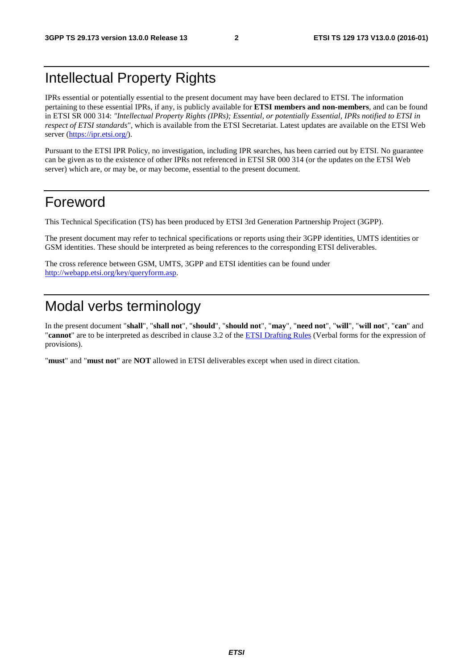## Intellectual Property Rights

IPRs essential or potentially essential to the present document may have been declared to ETSI. The information pertaining to these essential IPRs, if any, is publicly available for **ETSI members and non-members**, and can be found in ETSI SR 000 314: *"Intellectual Property Rights (IPRs); Essential, or potentially Essential, IPRs notified to ETSI in respect of ETSI standards"*, which is available from the ETSI Secretariat. Latest updates are available on the ETSI Web server [\(https://ipr.etsi.org/](https://ipr.etsi.org/)).

Pursuant to the ETSI IPR Policy, no investigation, including IPR searches, has been carried out by ETSI. No guarantee can be given as to the existence of other IPRs not referenced in ETSI SR 000 314 (or the updates on the ETSI Web server) which are, or may be, or may become, essential to the present document.

## Foreword

This Technical Specification (TS) has been produced by ETSI 3rd Generation Partnership Project (3GPP).

The present document may refer to technical specifications or reports using their 3GPP identities, UMTS identities or GSM identities. These should be interpreted as being references to the corresponding ETSI deliverables.

The cross reference between GSM, UMTS, 3GPP and ETSI identities can be found under <http://webapp.etsi.org/key/queryform.asp>.

## Modal verbs terminology

In the present document "**shall**", "**shall not**", "**should**", "**should not**", "**may**", "**need not**", "**will**", "**will not**", "**can**" and "**cannot**" are to be interpreted as described in clause 3.2 of the [ETSI Drafting Rules](http://portal.etsi.org/Help/editHelp!/Howtostart/ETSIDraftingRules.aspx) (Verbal forms for the expression of provisions).

"**must**" and "**must not**" are **NOT** allowed in ETSI deliverables except when used in direct citation.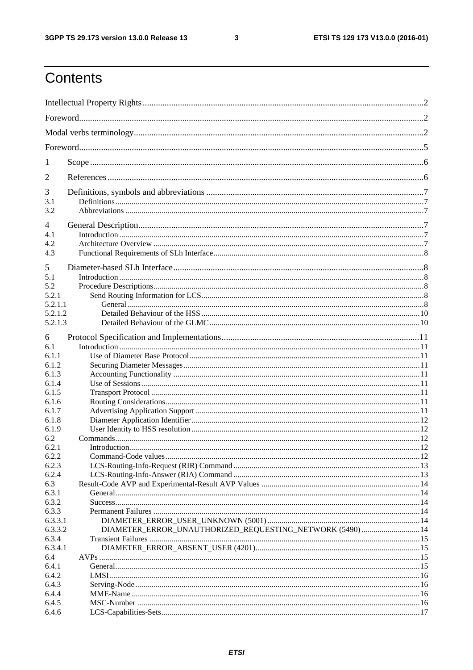$\mathbf{3}$ 

## Contents

| 1                                                         |                                                           |  |  |  |  |  |
|-----------------------------------------------------------|-----------------------------------------------------------|--|--|--|--|--|
| 2                                                         |                                                           |  |  |  |  |  |
| 3<br>3.1<br>3.2                                           |                                                           |  |  |  |  |  |
| 4<br>4.1<br>4.2<br>4.3                                    |                                                           |  |  |  |  |  |
| 5<br>5.1<br>5.2<br>5.2.1<br>5.2.1.1<br>5.2.1.2<br>5.2.1.3 |                                                           |  |  |  |  |  |
| 6<br>6.1<br>6.1.1<br>6.1.2<br>6.1.3<br>6.1.4              |                                                           |  |  |  |  |  |
| 6.1.5<br>6.1.6<br>6.1.7<br>6.1.8<br>6.1.9                 |                                                           |  |  |  |  |  |
| 6.2<br>6.2.1<br>6.2.2<br>6.2.3<br>6.2.4<br>6.3            |                                                           |  |  |  |  |  |
| 6.3.1<br>6.3.2<br>6.3.3<br>6.3.3.1                        |                                                           |  |  |  |  |  |
| 6.3.3.2<br>6.3.4<br>6.3.4.1<br>6.4                        | DIAMETER_ERROR_UNAUTHORIZED_REQUESTING_NETWORK (5490)  14 |  |  |  |  |  |
| 6.4.1<br>6.4.2<br>6.4.3<br>6.4.4                          |                                                           |  |  |  |  |  |
| 6.4.5<br>6.4.6                                            |                                                           |  |  |  |  |  |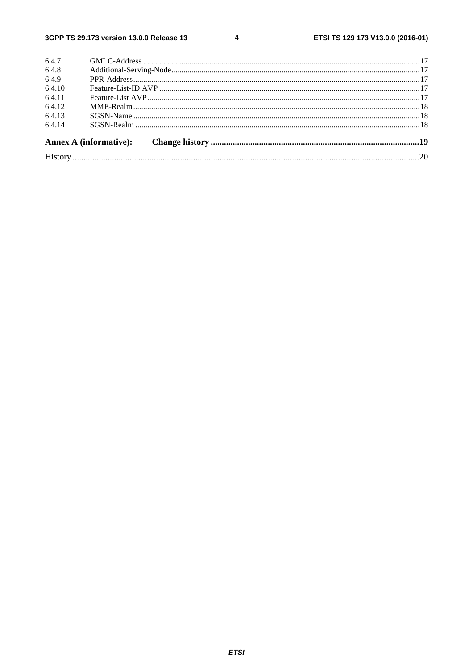$\overline{\mathbf{4}}$ 

| 6.4.7  |  |  |  |  |  |  |
|--------|--|--|--|--|--|--|
| 6.4.8  |  |  |  |  |  |  |
| 6.4.9  |  |  |  |  |  |  |
| 6.4.10 |  |  |  |  |  |  |
| 6.4.11 |  |  |  |  |  |  |
| 6.4.12 |  |  |  |  |  |  |
| 6.4.13 |  |  |  |  |  |  |
| 6.4.14 |  |  |  |  |  |  |
|        |  |  |  |  |  |  |
|        |  |  |  |  |  |  |
|        |  |  |  |  |  |  |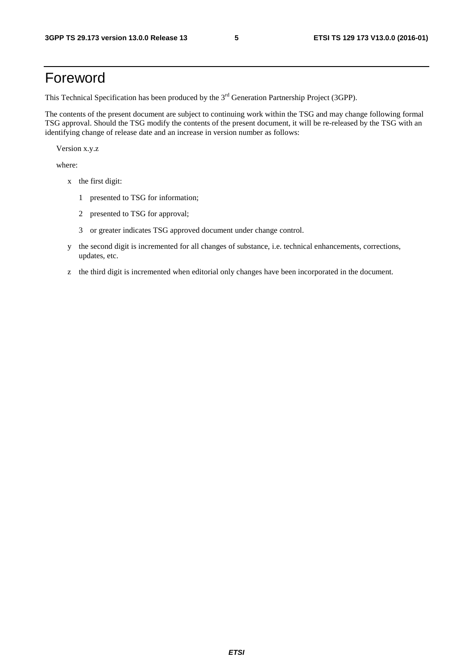## Foreword

This Technical Specification has been produced by the 3<sup>rd</sup> Generation Partnership Project (3GPP).

The contents of the present document are subject to continuing work within the TSG and may change following formal TSG approval. Should the TSG modify the contents of the present document, it will be re-released by the TSG with an identifying change of release date and an increase in version number as follows:

Version x.y.z

where:

- x the first digit:
	- 1 presented to TSG for information;
	- 2 presented to TSG for approval;
	- 3 or greater indicates TSG approved document under change control.
- y the second digit is incremented for all changes of substance, i.e. technical enhancements, corrections, updates, etc.
- z the third digit is incremented when editorial only changes have been incorporated in the document.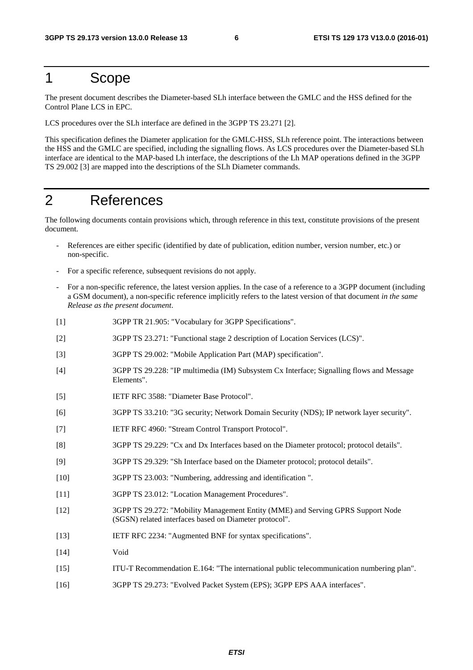## 1 Scope

The present document describes the Diameter-based SLh interface between the GMLC and the HSS defined for the Control Plane LCS in EPC.

LCS procedures over the SLh interface are defined in the 3GPP TS 23.271 [2].

This specification defines the Diameter application for the GMLC-HSS, SLh reference point. The interactions between the HSS and the GMLC are specified, including the signalling flows. As LCS procedures over the Diameter-based SLh interface are identical to the MAP-based Lh interface, the descriptions of the Lh MAP operations defined in the 3GPP TS 29.002 [3] are mapped into the descriptions of the SLh Diameter commands.

## 2 References

The following documents contain provisions which, through reference in this text, constitute provisions of the present document.

- References are either specific (identified by date of publication, edition number, version number, etc.) or non-specific.
- For a specific reference, subsequent revisions do not apply.
- For a non-specific reference, the latest version applies. In the case of a reference to a 3GPP document (including a GSM document), a non-specific reference implicitly refers to the latest version of that document *in the same Release as the present document*.
- [1] 3GPP TR 21.905: "Vocabulary for 3GPP Specifications".
- [2] 3GPP TS 23.271: "Functional stage 2 description of Location Services (LCS)".
- [3] 3GPP TS 29.002: "Mobile Application Part (MAP) specification".
- [4] 3GPP TS 29.228: "IP multimedia (IM) Subsystem Cx Interface; Signalling flows and Message Elements".
- [5] IETF RFC 3588: "Diameter Base Protocol".
- [6] 3GPP TS 33.210: "3G security; Network Domain Security (NDS); IP network layer security".
- [7] IETF RFC 4960: "Stream Control Transport Protocol".
- [8] 3GPP TS 29.229: "Cx and Dx Interfaces based on the Diameter protocol; protocol details".
- [9] 3GPP TS 29.329: "Sh Interface based on the Diameter protocol; protocol details".
- [10] 3GPP TS 23.003: "Numbering, addressing and identification ".
- [11] 3GPP TS 23.012: "Location Management Procedures".
- [12] 3GPP TS 29.272: "Mobility Management Entity (MME) and Serving GPRS Support Node (SGSN) related interfaces based on Diameter protocol".
- [13] IETF RFC 2234: "Augmented BNF for syntax specifications".
- [14] Void
- [15] ITU-T Recommendation E.164: "The international public telecommunication numbering plan".
- [16] 3GPP TS 29.273: "Evolved Packet System (EPS); 3GPP EPS AAA interfaces".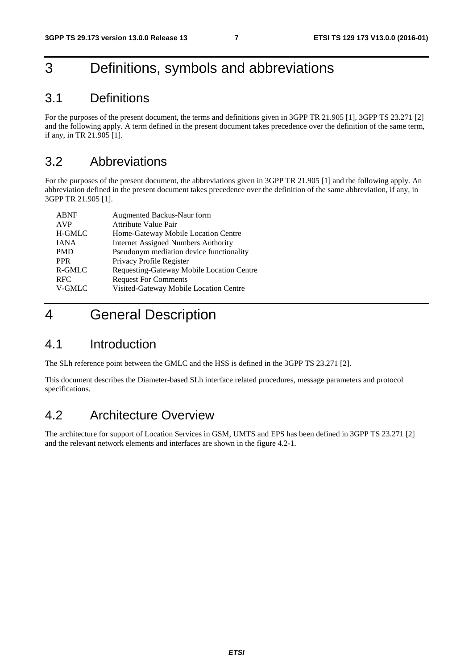## 3 Definitions, symbols and abbreviations

### 3.1 Definitions

For the purposes of the present document, the terms and definitions given in 3GPP TR 21.905 [1], 3GPP TS 23.271 [2] and the following apply. A term defined in the present document takes precedence over the definition of the same term, if any, in TR 21.905 [1].

### 3.2 Abbreviations

For the purposes of the present document, the abbreviations given in 3GPP TR 21.905 [1] and the following apply. An abbreviation defined in the present document takes precedence over the definition of the same abbreviation, if any, in 3GPP TR 21.905 [1].

| <b>ABNF</b> | Augmented Backus-Naur form                 |
|-------------|--------------------------------------------|
| <b>AVP</b>  | <b>Attribute Value Pair</b>                |
| H-GMLC      | Home-Gateway Mobile Location Centre        |
| <b>IANA</b> | <b>Internet Assigned Numbers Authority</b> |
| <b>PMD</b>  | Pseudonym mediation device functionality   |
| <b>PPR</b>  | Privacy Profile Register                   |
| R-GMLC      | Requesting-Gateway Mobile Location Centre  |
| <b>RFC</b>  | <b>Request For Comments</b>                |
| V-GMLC      | Visited-Gateway Mobile Location Centre     |

## 4 General Description

## 4.1 Introduction

The SLh reference point between the GMLC and the HSS is defined in the 3GPP TS 23.271 [2].

This document describes the Diameter-based SLh interface related procedures, message parameters and protocol specifications.

## 4.2 Architecture Overview

The architecture for support of Location Services in GSM, UMTS and EPS has been defined in 3GPP TS 23.271 [2] and the relevant network elements and interfaces are shown in the figure 4.2-1.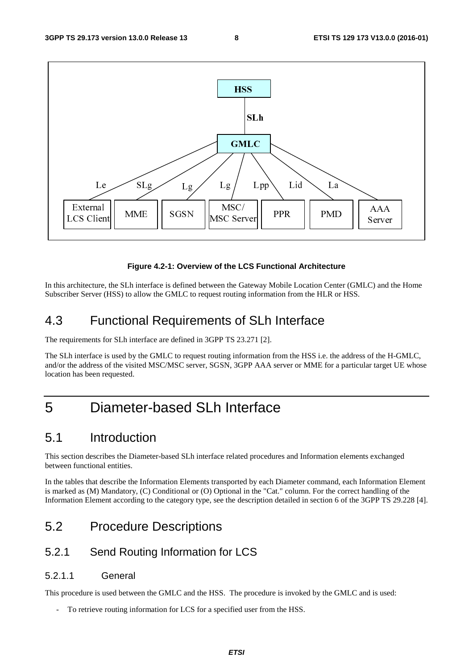

#### **Figure 4.2-1: Overview of the LCS Functional Architecture**

In this architecture, the SLh interface is defined between the Gateway Mobile Location Center (GMLC) and the Home Subscriber Server (HSS) to allow the GMLC to request routing information from the HLR or HSS.

## 4.3 Functional Requirements of SLh Interface

The requirements for SLh interface are defined in 3GPP TS 23.271 [2].

The SLh interface is used by the GMLC to request routing information from the HSS i.e. the address of the H-GMLC, and/or the address of the visited MSC/MSC server, SGSN, 3GPP AAA server or MME for a particular target UE whose location has been requested.

## 5 Diameter-based SLh Interface

### 5.1 Introduction

This section describes the Diameter-based SLh interface related procedures and Information elements exchanged between functional entities.

In the tables that describe the Information Elements transported by each Diameter command, each Information Element is marked as (M) Mandatory, (C) Conditional or (O) Optional in the "Cat." column. For the correct handling of the Information Element according to the category type, see the description detailed in section 6 of the 3GPP TS 29.228 [4].

## 5.2 Procedure Descriptions

#### 5.2.1 Send Routing Information for LCS

#### 5.2.1.1 General

This procedure is used between the GMLC and the HSS. The procedure is invoked by the GMLC and is used:

- To retrieve routing information for LCS for a specified user from the HSS.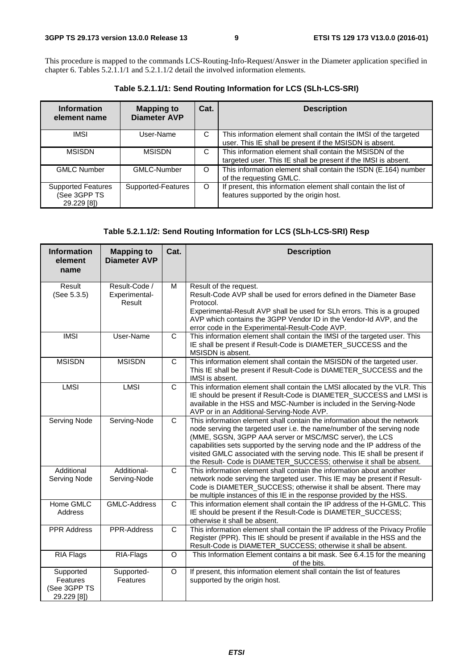This procedure is mapped to the commands LCS-Routing-Info-Request/Answer in the Diameter application specified in chapter 6. Tables 5.2.1.1/1 and 5.2.1.1/2 detail the involved information elements.

**Table 5.2.1.1/1: Send Routing Information for LCS (SLh-LCS-SRI)** 

| <b>Information</b><br>element name                       | <b>Mapping to</b><br><b>Diameter AVP</b> | Cat.    | <b>Description</b>                                                                                                         |
|----------------------------------------------------------|------------------------------------------|---------|----------------------------------------------------------------------------------------------------------------------------|
| <b>IMSI</b>                                              | User-Name                                | C       | This information element shall contain the IMSI of the targeted<br>user. This IE shall be present if the MSISDN is absent. |
| <b>MSISDN</b>                                            | <b>MSISDN</b>                            | C       | This information element shall contain the MSISDN of the<br>targeted user. This IE shall be present if the IMSI is absent. |
| <b>GMLC Number</b>                                       | <b>GMLC-Number</b>                       | $\circ$ | This information element shall contain the ISDN (E.164) number<br>of the requesting GMLC.                                  |
| <b>Supported Features</b><br>(See 3GPP TS<br>29.229 [8]) | Supported-Features                       | $\circ$ | If present, this information element shall contain the list of<br>features supported by the origin host.                   |

#### **Table 5.2.1.1/2: Send Routing Information for LCS (SLh-LCS-SRI) Resp**

| <b>Information</b><br>element<br>name                | <b>Mapping to</b><br><b>Diameter AVP</b> | Cat.         | <b>Description</b>                                                                                                                                                                                                                                                                                                                                                                                                                               |
|------------------------------------------------------|------------------------------------------|--------------|--------------------------------------------------------------------------------------------------------------------------------------------------------------------------------------------------------------------------------------------------------------------------------------------------------------------------------------------------------------------------------------------------------------------------------------------------|
| Result<br>(See 5.3.5)                                | Result-Code /<br>Experimental-<br>Result | M            | Result of the request.<br>Result-Code AVP shall be used for errors defined in the Diameter Base<br>Protocol.<br>Experimental-Result AVP shall be used for SLh errors. This is a grouped<br>AVP which contains the 3GPP Vendor ID in the Vendor-Id AVP, and the<br>error code in the Experimental-Result-Code AVP.                                                                                                                                |
| <b>IMSI</b>                                          | User-Name                                | $\mathsf{C}$ | This information element shall contain the IMSI of the targeted user. This<br>IE shall be present if Result-Code is DIAMETER_SUCCESS and the<br>MSISDN is absent.                                                                                                                                                                                                                                                                                |
| <b>MSISDN</b>                                        | <b>MSISDN</b>                            | $\mathsf{C}$ | This information element shall contain the MSISDN of the targeted user.<br>This IE shall be present if Result-Code is DIAMETER_SUCCESS and the<br>IMSI is absent.                                                                                                                                                                                                                                                                                |
| <b>LMSI</b>                                          | <b>LMSI</b>                              | $\mathsf{C}$ | This information element shall contain the LMSI allocated by the VLR. This<br>IE should be present if Result-Code is DIAMETER_SUCCESS and LMSI is<br>available in the HSS and MSC-Number is included in the Serving-Node<br>AVP or in an Additional-Serving-Node AVP.                                                                                                                                                                            |
| Serving Node                                         | Serving-Node                             | $\mathsf{C}$ | This information element shall contain the information about the network<br>node serving the targeted user i.e. the name/number of the serving node<br>(MME, SGSN, 3GPP AAA server or MSC/MSC server), the LCS<br>capabilities sets supported by the serving node and the IP address of the<br>visited GMLC associated with the serving node. This IE shall be present if<br>the Result- Code is DIAMETER_SUCCESS; otherwise it shall be absent. |
| Additional<br>Serving Node                           | Additional-<br>Serving-Node              | C            | This information element shall contain the information about another<br>network node serving the targeted user. This IE may be present if Result-<br>Code is DIAMETER_SUCCESS; otherwise it shall be absent. There may<br>be multiple instances of this IE in the response provided by the HSS.                                                                                                                                                  |
| Home GMLC<br>Address                                 | <b>GMLC-Address</b>                      | C            | This information element shall contain the IP address of the H-GMLC. This<br>IE should be present if the Result-Code is DIAMETER_SUCCESS;<br>otherwise it shall be absent.                                                                                                                                                                                                                                                                       |
| <b>PPR Address</b>                                   | PPR-Address                              | $\mathsf{C}$ | This information element shall contain the IP address of the Privacy Profile<br>Register (PPR). This IE should be present if available in the HSS and the<br>Result-Code is DIAMETER_SUCCESS; otherwise it shall be absent.                                                                                                                                                                                                                      |
| <b>RIA Flags</b>                                     | RIA-Flags                                | O            | This Information Element contains a bit mask. See 6.4.15 for the meaning<br>of the bits.                                                                                                                                                                                                                                                                                                                                                         |
| Supported<br>Features<br>(See 3GPP TS<br>29.229 [8]) | Supported-<br>Features                   | O            | If present, this information element shall contain the list of features<br>supported by the origin host.                                                                                                                                                                                                                                                                                                                                         |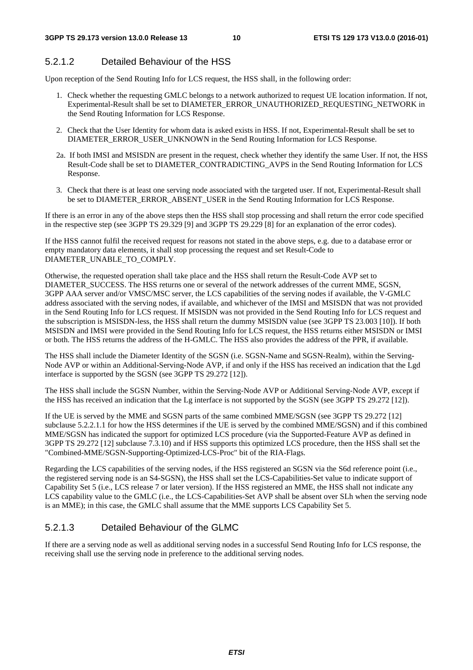#### 5.2.1.2 Detailed Behaviour of the HSS

Upon reception of the Send Routing Info for LCS request, the HSS shall, in the following order:

- 1. Check whether the requesting GMLC belongs to a network authorized to request UE location information. If not, Experimental-Result shall be set to DIAMETER\_ERROR\_UNAUTHORIZED\_REQUESTING\_NETWORK in the Send Routing Information for LCS Response.
- 2. Check that the User Identity for whom data is asked exists in HSS. If not, Experimental-Result shall be set to DIAMETER\_ERROR\_USER\_UNKNOWN in the Send Routing Information for LCS Response.
- 2a. If both IMSI and MSISDN are present in the request, check whether they identify the same User. If not, the HSS Result-Code shall be set to DIAMETER\_CONTRADICTING\_AVPS in the Send Routing Information for LCS Response.
- 3. Check that there is at least one serving node associated with the targeted user. If not, Experimental-Result shall be set to DIAMETER\_ERROR\_ABSENT\_USER in the Send Routing Information for LCS Response.

If there is an error in any of the above steps then the HSS shall stop processing and shall return the error code specified in the respective step (see 3GPP TS 29.329 [9] and 3GPP TS 29.229 [8] for an explanation of the error codes).

If the HSS cannot fulfil the received request for reasons not stated in the above steps, e.g. due to a database error or empty mandatory data elements, it shall stop processing the request and set Result-Code to DIAMETER\_UNABLE\_TO\_COMPLY.

Otherwise, the requested operation shall take place and the HSS shall return the Result-Code AVP set to DIAMETER\_SUCCESS. The HSS returns one or several of the network addresses of the current MME, SGSN, 3GPP AAA server and/or VMSC/MSC server, the LCS capabilities of the serving nodes if available, the V-GMLC address associated with the serving nodes, if available, and whichever of the IMSI and MSISDN that was not provided in the Send Routing Info for LCS request. If MSISDN was not provided in the Send Routing Info for LCS request and the subscription is MSISDN-less, the HSS shall return the dummy MSISDN value (see 3GPP TS 23.003 [10]). If both MSISDN and IMSI were provided in the Send Routing Info for LCS request, the HSS returns either MSISDN or IMSI or both. The HSS returns the address of the H-GMLC. The HSS also provides the address of the PPR, if available.

The HSS shall include the Diameter Identity of the SGSN (i.e. SGSN-Name and SGSN-Realm), within the Serving-Node AVP or within an Additional-Serving-Node AVP, if and only if the HSS has received an indication that the Lgd interface is supported by the SGSN (see 3GPP TS 29.272 [12]).

The HSS shall include the SGSN Number, within the Serving-Node AVP or Additional Serving-Node AVP, except if the HSS has received an indication that the Lg interface is not supported by the SGSN (see 3GPP TS 29.272 [12]).

If the UE is served by the MME and SGSN parts of the same combined MME/SGSN (see 3GPP TS 29.272 [12] subclause 5.2.2.1.1 for how the HSS determines if the UE is served by the combined MME/SGSN) and if this combined MME/SGSN has indicated the support for optimized LCS procedure (via the Supported-Feature AVP as defined in 3GPP TS 29.272 [12] subclause 7.3.10) and if HSS supports this optimized LCS procedure, then the HSS shall set the "Combined-MME/SGSN-Supporting-Optimized-LCS-Proc" bit of the RIA-Flags.

Regarding the LCS capabilities of the serving nodes, if the HSS registered an SGSN via the S6d reference point (i.e., the registered serving node is an S4-SGSN), the HSS shall set the LCS-Capabilities-Set value to indicate support of Capability Set 5 (i.e., LCS release 7 or later version). If the HSS registered an MME, the HSS shall not indicate any LCS capability value to the GMLC (i.e., the LCS-Capabilities-Set AVP shall be absent over SLh when the serving node is an MME); in this case, the GMLC shall assume that the MME supports LCS Capability Set 5.

### 5.2.1.3 Detailed Behaviour of the GLMC

If there are a serving node as well as additional serving nodes in a successful Send Routing Info for LCS response, the receiving shall use the serving node in preference to the additional serving nodes.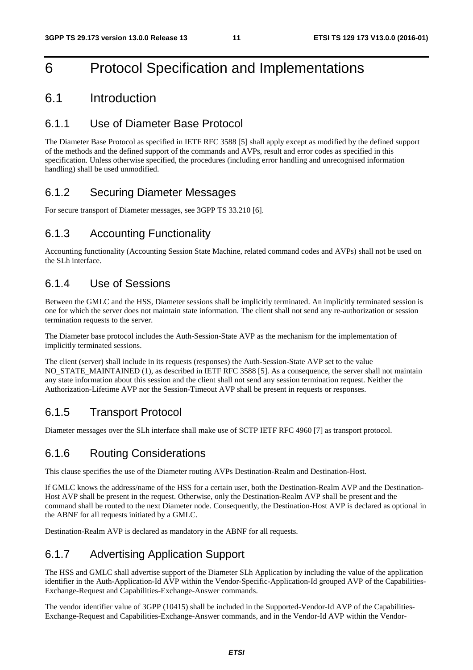## 6 Protocol Specification and Implementations

#### 6.1 Introduction

#### 6.1.1 Use of Diameter Base Protocol

The Diameter Base Protocol as specified in IETF RFC 3588 [5] shall apply except as modified by the defined support of the methods and the defined support of the commands and AVPs, result and error codes as specified in this specification. Unless otherwise specified, the procedures (including error handling and unrecognised information handling) shall be used unmodified.

#### 6.1.2 Securing Diameter Messages

For secure transport of Diameter messages, see 3GPP TS 33.210 [6].

#### 6.1.3 Accounting Functionality

Accounting functionality (Accounting Session State Machine, related command codes and AVPs) shall not be used on the SLh interface.

#### 6.1.4 Use of Sessions

Between the GMLC and the HSS, Diameter sessions shall be implicitly terminated. An implicitly terminated session is one for which the server does not maintain state information. The client shall not send any re-authorization or session termination requests to the server.

The Diameter base protocol includes the Auth-Session-State AVP as the mechanism for the implementation of implicitly terminated sessions.

The client (server) shall include in its requests (responses) the Auth-Session-State AVP set to the value NO\_STATE\_MAINTAINED (1), as described in IETF RFC 3588 [5]. As a consequence, the server shall not maintain any state information about this session and the client shall not send any session termination request. Neither the Authorization-Lifetime AVP nor the Session-Timeout AVP shall be present in requests or responses.

### 6.1.5 Transport Protocol

Diameter messages over the SLh interface shall make use of SCTP IETF RFC 4960 [7] as transport protocol.

#### 6.1.6 Routing Considerations

This clause specifies the use of the Diameter routing AVPs Destination-Realm and Destination-Host.

If GMLC knows the address/name of the HSS for a certain user, both the Destination-Realm AVP and the Destination-Host AVP shall be present in the request. Otherwise, only the Destination-Realm AVP shall be present and the command shall be routed to the next Diameter node. Consequently, the Destination-Host AVP is declared as optional in the ABNF for all requests initiated by a GMLC.

Destination-Realm AVP is declared as mandatory in the ABNF for all requests.

## 6.1.7 Advertising Application Support

The HSS and GMLC shall advertise support of the Diameter SLh Application by including the value of the application identifier in the Auth-Application-Id AVP within the Vendor-Specific-Application-Id grouped AVP of the Capabilities-Exchange-Request and Capabilities-Exchange-Answer commands.

The vendor identifier value of 3GPP (10415) shall be included in the Supported-Vendor-Id AVP of the Capabilities-Exchange-Request and Capabilities-Exchange-Answer commands, and in the Vendor-Id AVP within the Vendor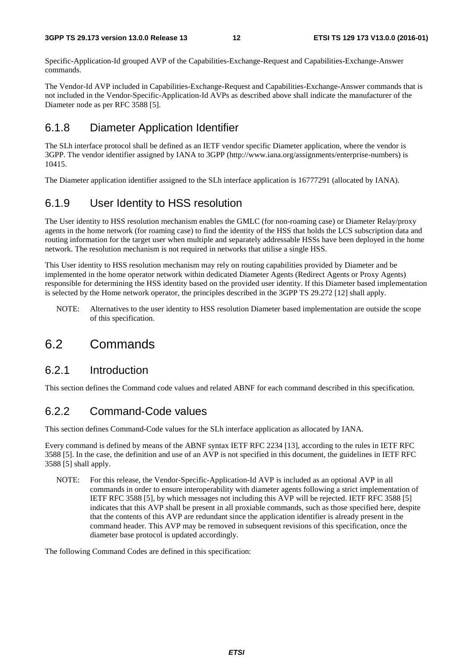Specific-Application-Id grouped AVP of the Capabilities-Exchange-Request and Capabilities-Exchange-Answer commands.

The Vendor-Id AVP included in Capabilities-Exchange-Request and Capabilities-Exchange-Answer commands that is not included in the Vendor-Specific-Application-Id AVPs as described above shall indicate the manufacturer of the Diameter node as per RFC 3588 [5].

#### 6.1.8 Diameter Application Identifier

The SLh interface protocol shall be defined as an IETF vendor specific Diameter application, where the vendor is 3GPP. The vendor identifier assigned by IANA to 3GPP (http://www.iana.org/assignments/enterprise-numbers) is 10415.

The Diameter application identifier assigned to the SLh interface application is 16777291 (allocated by IANA).

### 6.1.9 User Identity to HSS resolution

The User identity to HSS resolution mechanism enables the GMLC (for non-roaming case) or Diameter Relay/proxy agents in the home network (for roaming case) to find the identity of the HSS that holds the LCS subscription data and routing information for the target user when multiple and separately addressable HSSs have been deployed in the home network. The resolution mechanism is not required in networks that utilise a single HSS.

This User identity to HSS resolution mechanism may rely on routing capabilities provided by Diameter and be implemented in the home operator network within dedicated Diameter Agents (Redirect Agents or Proxy Agents) responsible for determining the HSS identity based on the provided user identity. If this Diameter based implementation is selected by the Home network operator, the principles described in the 3GPP TS 29.272 [12] shall apply.

NOTE: Alternatives to the user identity to HSS resolution Diameter based implementation are outside the scope of this specification.

## 6.2 Commands

#### 6.2.1 Introduction

This section defines the Command code values and related ABNF for each command described in this specification.

### 6.2.2 Command-Code values

This section defines Command-Code values for the SLh interface application as allocated by IANA.

Every command is defined by means of the ABNF syntax IETF RFC 2234 [13], according to the rules in IETF RFC 3588 [5]. In the case, the definition and use of an AVP is not specified in this document, the guidelines in IETF RFC 3588 [5] shall apply.

NOTE: For this release, the Vendor-Specific-Application-Id AVP is included as an optional AVP in all commands in order to ensure interoperability with diameter agents following a strict implementation of IETF RFC 3588 [5], by which messages not including this AVP will be rejected. IETF RFC 3588 [5] indicates that this AVP shall be present in all proxiable commands, such as those specified here, despite that the contents of this AVP are redundant since the application identifier is already present in the command header. This AVP may be removed in subsequent revisions of this specification, once the diameter base protocol is updated accordingly.

The following Command Codes are defined in this specification: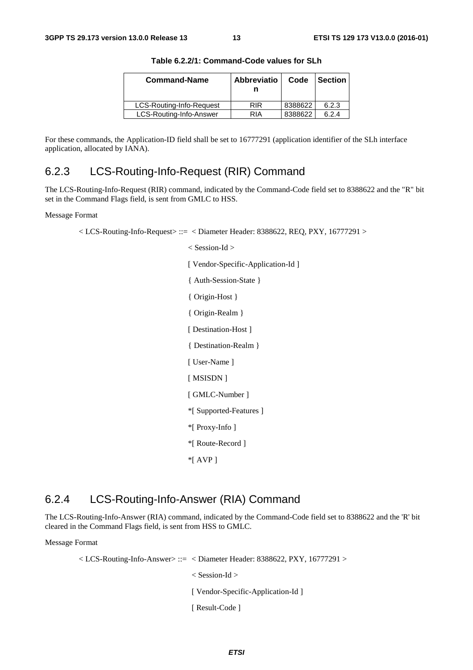| <b>Command-Name</b>      | <b>Abbreviatio</b> | Code    | <b>Section</b> |
|--------------------------|--------------------|---------|----------------|
| LCS-Routing-Info-Request | <b>RIR</b>         | 8388622 | 6.2.3          |
| LCS-Routing-Info-Answer  | RIA                | 8388622 | 6.2.4          |

**Table 6.2.2/1: Command-Code values for SLh** 

For these commands, the Application-ID field shall be set to 16777291 (application identifier of the SLh interface application, allocated by IANA).

#### 6.2.3 LCS-Routing-Info-Request (RIR) Command

The LCS-Routing-Info-Request (RIR) command, indicated by the Command-Code field set to 8388622 and the "R" bit set in the Command Flags field, is sent from GMLC to HSS.

#### Message Format

 $\langle$  LCS-Routing-Info-Request $\rangle ::= \langle$  Diameter Header: 8388622, REQ, PXY, 16777291 $\rangle$ 

< Session-Id > [ Vendor-Specific-Application-Id ] { Auth-Session-State } { Origin-Host } { Origin-Realm } [ Destination-Host ] { Destination-Realm } [ User-Name ] [ MSISDN ] [ GMLC-Number ] \*[ Supported-Features ] \*[ Proxy-Info ] \*[ Route-Record ] \*[ AVP ]

#### 6.2.4 LCS-Routing-Info-Answer (RIA) Command

The LCS-Routing-Info-Answer (RIA) command, indicated by the Command-Code field set to 8388622 and the 'R' bit cleared in the Command Flags field, is sent from HSS to GMLC.

Message Format

 $\langle$  LCS-Routing-Info-Answer> ::=  $\langle$  Diameter Header: 8388622, PXY, 16777291 > < Session-Id > [ Vendor-Specific-Application-Id ] [ Result-Code ]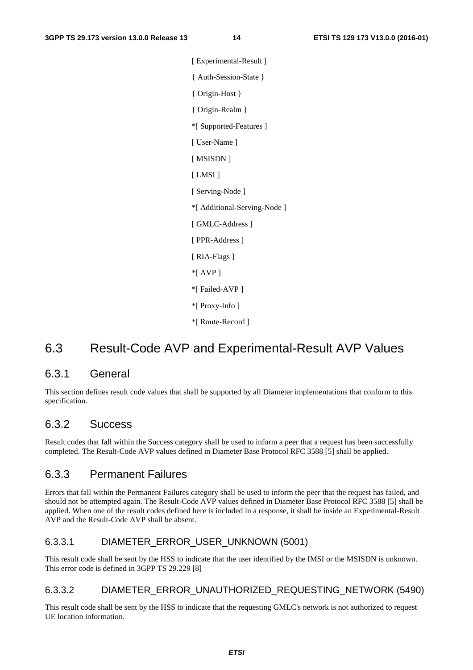[ Experimental-Result ] { Auth-Session-State } { Origin-Host } { Origin-Realm } \*[ Supported-Features ] [ User-Name ] [ MSISDN ] [ LMSI ] [ Serving-Node ] \*[ Additional-Serving-Node ] [ GMLC-Address ] [ PPR-Address ] [ RIA-Flags ] \*[ AVP ] \*[ Failed-AVP ] \*[ Proxy-Info ] \*[ Route-Record ]

## 6.3 Result-Code AVP and Experimental-Result AVP Values

#### 6.3.1 General

This section defines result code values that shall be supported by all Diameter implementations that conform to this specification.

#### 6.3.2 Success

Result codes that fall within the Success category shall be used to inform a peer that a request has been successfully completed. The Result-Code AVP values defined in Diameter Base Protocol RFC 3588 [5] shall be applied.

#### 6.3.3 Permanent Failures

Errors that fall within the Permanent Failures category shall be used to inform the peer that the request has failed, and should not be attempted again. The Result-Code AVP values defined in Diameter Base Protocol RFC 3588 [5] shall be applied. When one of the result codes defined here is included in a response, it shall be inside an Experimental-Result AVP and the Result-Code AVP shall be absent.

#### 6.3.3.1 DIAMETER\_ERROR\_USER\_UNKNOWN (5001)

This result code shall be sent by the HSS to indicate that the user identified by the IMSI or the MSISDN is unknown. This error code is defined in 3GPP TS 29.229 [8]

#### 6.3.3.2 DIAMETER\_ERROR\_UNAUTHORIZED\_REQUESTING\_NETWORK (5490)

This result code shall be sent by the HSS to indicate that the requesting GMLC's network is not authorized to request UE location information.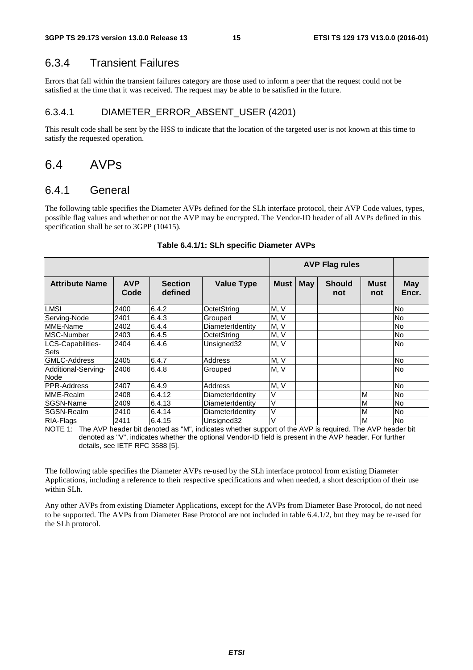#### 6.3.4 Transient Failures

Errors that fall within the transient failures category are those used to inform a peer that the request could not be satisfied at the time that it was received. The request may be able to be satisfied in the future.

#### 6.3.4.1 DIAMETER\_ERROR\_ABSENT\_USER (4201)

This result code shall be sent by the HSS to indicate that the location of the targeted user is not known at this time to satisfy the requested operation.

### 6.4 AVPs

#### 6.4.1 General

The following table specifies the Diameter AVPs defined for the SLh interface protocol, their AVP Code values, types, possible flag values and whether or not the AVP may be encrypted. The Vendor-ID header of all AVPs defined in this specification shall be set to 3GPP (10415).

|                                                                                                                                                                                                                                                                   |                    |                           |                   |             |     | <b>AVP Flag rules</b> |             |                     |
|-------------------------------------------------------------------------------------------------------------------------------------------------------------------------------------------------------------------------------------------------------------------|--------------------|---------------------------|-------------------|-------------|-----|-----------------------|-------------|---------------------|
| <b>Attribute Name</b>                                                                                                                                                                                                                                             | <b>AVP</b><br>Code | <b>Section</b><br>defined | <b>Value Type</b> | <b>Must</b> | May | <b>Should</b><br>not  | Must<br>not | <b>May</b><br>Encr. |
| LMSI                                                                                                                                                                                                                                                              | 2400               | 6.4.2                     | OctetString       | M, V        |     |                       |             | N <sub>o</sub>      |
| Serving-Node                                                                                                                                                                                                                                                      | 2401               | 6.4.3                     | Grouped           | M, V        |     |                       |             | No.                 |
| MME-Name                                                                                                                                                                                                                                                          | 2402               | 6.4.4                     | DiameterIdentity  | M, V        |     |                       |             | No                  |
| MSC-Number                                                                                                                                                                                                                                                        | 2403               | 6.4.5                     | OctetString       | M, V        |     |                       |             | N <sub>o</sub>      |
| LCS-Capabilities-<br>Sets                                                                                                                                                                                                                                         | 2404               | 6.4.6                     | Unsigned32        | M, V        |     |                       |             | N <sub>o</sub>      |
| <b>GMLC-Address</b>                                                                                                                                                                                                                                               | 2405               | 6.4.7                     | Address           | M, V        |     |                       |             | <b>No</b>           |
| Additional-Serving-<br>Node                                                                                                                                                                                                                                       | 2406               | 6.4.8                     | Grouped           | M, V        |     |                       |             | N <sub>o</sub>      |
| IPPR-Address                                                                                                                                                                                                                                                      | 2407               | 6.4.9                     | Address           | M, V        |     |                       |             | N <sub>o</sub>      |
| MME-Realm                                                                                                                                                                                                                                                         | 2408               | 6.4.12                    | DiameterIdentity  | ٧           |     |                       | M           | No.                 |
| SGSN-Name                                                                                                                                                                                                                                                         | 2409               | 6.4.13                    | DiameterIdentity  | V           |     |                       | M           | N <sub>o</sub>      |
| SGSN-Realm                                                                                                                                                                                                                                                        | 2410               | 6.4.14                    | DiameterIdentity  | V           |     |                       | M           | No.                 |
| RIA-Flags                                                                                                                                                                                                                                                         | 2411               | 6.4.15                    | Unsigned32        | V           |     |                       | M           | <b>No</b>           |
| The AVP header bit denoted as "M", indicates whether support of the AVP is required. The AVP header bit<br>NOTE 1:<br>denoted as "V", indicates whether the optional Vendor-ID field is present in the AVP header. For further<br>details, see IETF RFC 3588 [5]. |                    |                           |                   |             |     |                       |             |                     |

#### **Table 6.4.1/1: SLh specific Diameter AVPs**

The following table specifies the Diameter AVPs re-used by the SLh interface protocol from existing Diameter Applications, including a reference to their respective specifications and when needed, a short description of their use within SLh.

Any other AVPs from existing Diameter Applications, except for the AVPs from Diameter Base Protocol, do not need to be supported. The AVPs from Diameter Base Protocol are not included in table 6.4.1/2, but they may be re-used for the SLh protocol.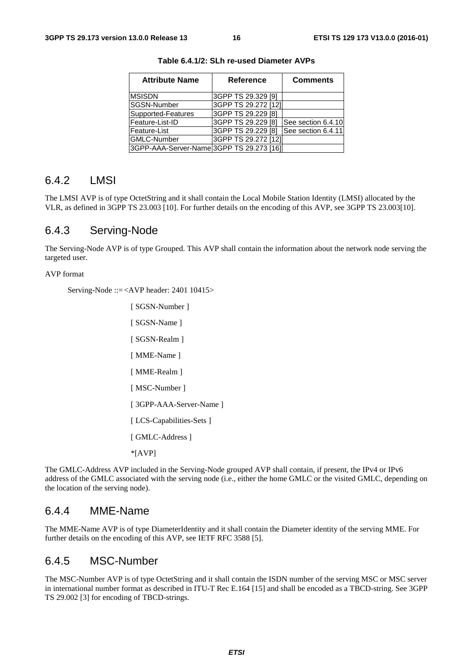| <b>Attribute Name</b>                    | <b>Reference</b>    | <b>Comments</b>    |
|------------------------------------------|---------------------|--------------------|
| <b>MSISDN</b>                            | 3GPP TS 29.329 [9]  |                    |
| <b>SGSN-Number</b>                       | 3GPP TS 29.272 [12] |                    |
| Supported-Features                       | 3GPP TS 29.229 [8]  |                    |
| Feature-List-ID                          | 3GPP TS 29.229 [8]  | See section 6.4.10 |
| Feature-List                             | 3GPP TS 29.229 [8]  | See section 6.4.11 |
| <b>GMLC-Number</b>                       | 3GPP TS 29.272 [12] |                    |
| 3GPP-AAA-Server-Name 3GPP TS 29.273 [16] |                     |                    |

**Table 6.4.1/2: SLh re-used Diameter AVPs** 

#### 6.4.2 LMSI

The LMSI AVP is of type OctetString and it shall contain the Local Mobile Station Identity (LMSI) allocated by the VLR, as defined in 3GPP TS 23.003 [10]. For further details on the encoding of this AVP, see 3GPP TS 23.003[10].

#### 6.4.3 Serving-Node

The Serving-Node AVP is of type Grouped. This AVP shall contain the information about the network node serving the targeted user.

#### AVP format

Serving-Node ::= <AVP header: 2401 10415>

```
[ SGSN-Number ] 
[ SGSN-Name ]
[ SGSN-Realm ] 
[ MME-Name ]
[ MME-Realm ] 
[ MSC-Number ]
[ 3GPP-AAA-Server-Name ] 
[ LCS-Capabilities-Sets ] 
[ GMLC-Address ]
*[AVP]
```
The GMLC-Address AVP included in the Serving-Node grouped AVP shall contain, if present, the IPv4 or IPv6 address of the GMLC associated with the serving node (i.e., either the home GMLC or the visited GMLC, depending on the location of the serving node).

#### 6.4.4 MME-Name

The MME-Name AVP is of type DiameterIdentity and it shall contain the Diameter identity of the serving MME. For further details on the encoding of this AVP, see IETF RFC 3588 [5].

#### 6.4.5 MSC-Number

The MSC-Number AVP is of type OctetString and it shall contain the ISDN number of the serving MSC or MSC server in international number format as described in ITU-T Rec E.164 [15] and shall be encoded as a TBCD-string. See 3GPP TS 29.002 [3] for encoding of TBCD-strings.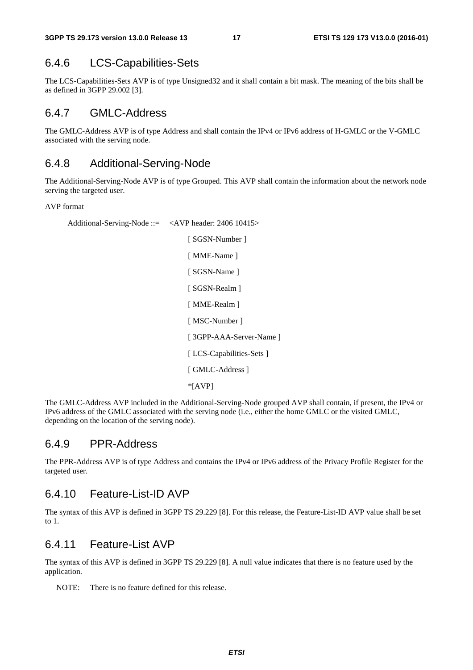#### 6.4.6 LCS-Capabilities-Sets

The LCS-Capabilities-Sets AVP is of type Unsigned32 and it shall contain a bit mask. The meaning of the bits shall be as defined in 3GPP 29.002 [3].

#### 6.4.7 GMLC-Address

The GMLC-Address AVP is of type Address and shall contain the IPv4 or IPv6 address of H-GMLC or the V-GMLC associated with the serving node.

#### 6.4.8 Additional-Serving-Node

The Additional-Serving-Node AVP is of type Grouped. This AVP shall contain the information about the network node serving the targeted user.

#### AVP format

Additional-Serving-Node ::= <AVP header: 2406 10415> [ SGSN-Number ] [ MME-Name ] [ SGSN-Name ] [ SGSN-Realm ] [ MME-Realm ] [ MSC-Number ] [ 3GPP-AAA-Server-Name ] [ LCS-Capabilities-Sets ] [ GMLC-Address ]

\*[AVP]

The GMLC-Address AVP included in the Additional-Serving-Node grouped AVP shall contain, if present, the IPv4 or IPv6 address of the GMLC associated with the serving node (i.e., either the home GMLC or the visited GMLC, depending on the location of the serving node).

#### 6.4.9 PPR-Address

The PPR-Address AVP is of type Address and contains the IPv4 or IPv6 address of the Privacy Profile Register for the targeted user.

#### 6.4.10 Feature-List-ID AVP

The syntax of this AVP is defined in 3GPP TS 29.229 [8]. For this release, the Feature-List-ID AVP value shall be set to 1.

#### 6.4.11 Feature-List AVP

The syntax of this AVP is defined in 3GPP TS 29.229 [8]. A null value indicates that there is no feature used by the application.

NOTE: There is no feature defined for this release.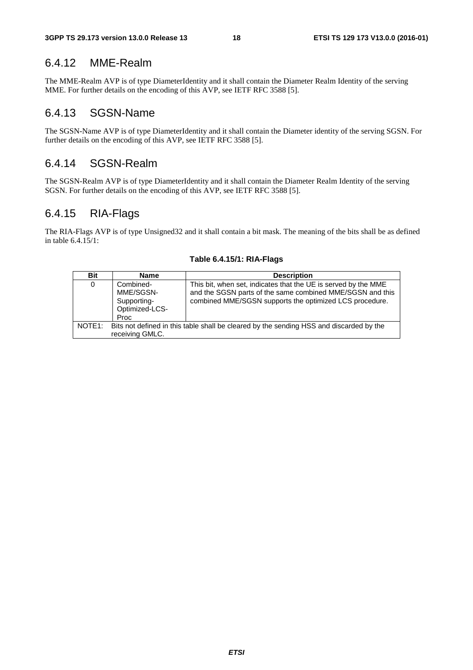#### 6.4.12 MME-Realm

The MME-Realm AVP is of type DiameterIdentity and it shall contain the Diameter Realm Identity of the serving MME. For further details on the encoding of this AVP, see IETF RFC 3588 [5].

#### 6.4.13 SGSN-Name

The SGSN-Name AVP is of type DiameterIdentity and it shall contain the Diameter identity of the serving SGSN. For further details on the encoding of this AVP, see IETF RFC 3588 [5].

#### 6.4.14 SGSN-Realm

The SGSN-Realm AVP is of type DiameterIdentity and it shall contain the Diameter Realm Identity of the serving SGSN. For further details on the encoding of this AVP, see IETF RFC 3588 [5].

#### 6.4.15 RIA-Flags

The RIA-Flags AVP is of type Unsigned32 and it shall contain a bit mask. The meaning of the bits shall be as defined in table 6.4.15/1:

| <b>Bit</b>          | <b>Name</b>                                                                                                | <b>Description</b>                                                                                                                                                                     |  |  |  |  |  |
|---------------------|------------------------------------------------------------------------------------------------------------|----------------------------------------------------------------------------------------------------------------------------------------------------------------------------------------|--|--|--|--|--|
| 0                   | Combined-<br>MME/SGSN-<br>Supporting-<br>Optimized-LCS-<br>Proc                                            | This bit, when set, indicates that the UE is served by the MME<br>and the SGSN parts of the same combined MME/SGSN and this<br>combined MME/SGSN supports the optimized LCS procedure. |  |  |  |  |  |
| NOTE <sub>1</sub> : | Bits not defined in this table shall be cleared by the sending HSS and discarded by the<br>receiving GMLC. |                                                                                                                                                                                        |  |  |  |  |  |

#### **Table 6.4.15/1: RIA-Flags**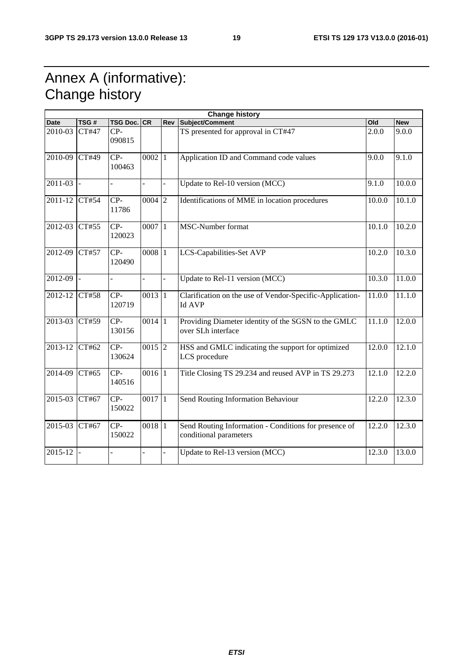## Annex A (informative): Change history

| <b>Change history</b> |       |                    |                     |                     |                                                                                 |        |            |
|-----------------------|-------|--------------------|---------------------|---------------------|---------------------------------------------------------------------------------|--------|------------|
| <b>Date</b>           | TSG#  | <b>TSG Doc. CR</b> |                     | Rev                 | Subject/Comment                                                                 | Old    | <b>New</b> |
| 2010-03               | CT#47 | $CP-$<br>090815    |                     |                     | TS presented for approval in CT#47                                              | 2.0.0  | 9.0.0      |
| 2010-09               | CT#49 | $CP-$<br>100463    | $0002$ <sup>1</sup> |                     | Application ID and Command code values                                          | 9.0.0  | 9.1.0      |
| 2011-03               |       |                    |                     | $\Box$              | Update to Rel-10 version (MCC)                                                  | 9.1.0  | 10.0.0     |
| $2011 - 12$           | CT#54 | $CP-$<br>11786     | $000\overline{4}$ 2 |                     | Identifications of MME in location procedures                                   | 10.0.0 | 10.1.0     |
| 2012-03               | CT#55 | $CP-$<br>120023    | 0007 1              |                     | MSC-Number format                                                               | 10.1.0 | 10.2.0     |
| 2012-09               | CT#57 | $CP-$<br>120490    | 0008 1              |                     | LCS-Capabilities-Set AVP                                                        | 10.2.0 | 10.3.0     |
| 2012-09               |       |                    | $\overline{a}$      | $\bar{\phantom{a}}$ | Update to Rel-11 version $(MCC)$                                                | 10.3.0 | 11.0.0     |
| 2012-12               | CT#58 | $CP-$<br>120719    | 0013 1              |                     | Clarification on the use of Vendor-Specific-Application-<br><b>Id AVP</b>       | 11.0.0 | 11.1.0     |
| 2013-03               | CT#59 | $CP-$<br>130156    | $0014$  1           |                     | Providing Diameter identity of the SGSN to the GMLC<br>over SLh interface       | 11.1.0 | 12.0.0     |
| 2013-12               | CT#62 | CP-<br>130624      | $0015$ <sup>2</sup> |                     | HSS and GMLC indicating the support for optimized<br>LCS procedure              | 12.0.0 | 12.1.0     |
| 2014-09               | CT#65 | $CP-$<br>140516    | $0016$ <sup>1</sup> |                     | Title Closing TS 29.234 and reused AVP in TS 29.273                             | 12.1.0 | 12.2.0     |
| 2015-03               | CT#67 | $CP-$<br>150022    | $0017$ <sup>1</sup> |                     | Send Routing Information Behaviour                                              | 12.2.0 | 12.3.0     |
| 2015-03               | CT#67 | $CP-$<br>150022    | $0018$  1           |                     | Send Routing Information - Conditions for presence of<br>conditional parameters | 12.2.0 | 12.3.0     |
| 2015-12               |       |                    |                     |                     | Update to Rel-13 version (MCC)                                                  | 12.3.0 | 13.0.0     |